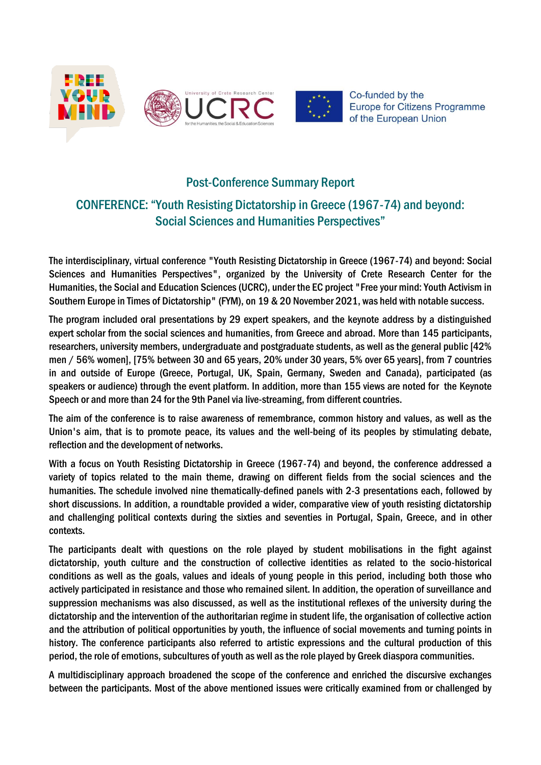

## Post-Conference Summary Report

## CONFERENCE: "Youth Resisting Dictatorship in Greece (1967-74) and beyond: Social Sciences and Humanities Perspectives"

The interdisciplinary, virtual conference "Youth Resisting Dictatorship in Greece (1967-74) and beyond: Social Sciences and Humanities Perspectives", organized by the University of Crete Research Center for the Humanities, the Social and Education Sciences (UCRC), under the EC project "Free your mind: Youth Activism in Southern Europe in Times of Dictatorship" (FYM), on 19 & 20 November 2021, was held with notable success.

The program included oral presentations by 29 expert speakers, and the keynote address by a distinguished expert scholar from the social sciences and humanities, from Greece and abroad. More than 145 participants, researchers, university members, undergraduate and postgraduate students, as well as the general public [42% men / 56% women], [75% between 30 and 65 years, 20% under 30 years, 5% over 65 years], from 7 countries in and outside of Europe (Greece, Portugal, UK, Spain, Germany, Sweden and Canada), participated (as speakers or audience) through the event platform. In addition, more than 155 views are noted for the [Keynote](https://www.youtube.com/watch?v=RGhzaUFEHu0&feature=youtu.be)  [Speech](https://www.youtube.com/watch?v=RGhzaUFEHu0&feature=youtu.be) or and more than 24 for the [9th Panel](https://www.youtube.com/watch?v=lWPaHOUsTHY) via live-streaming, from different countries.

The aim of the conference is to raise awareness of remembrance, common history and values, as well as the Union's aim, that is to promote peace, its values and the well-being of its peoples by stimulating debate, reflection and the development of networks.

With a focus on Youth Resisting Dictatorship in Greece (1967-74) and beyond, the conference addressed a variety of topics related to the main theme, drawing on different fields from the social sciences and the humanities. The schedule involved nine thematically-defined panels with 2-3 presentations each, followed by short discussions. In addition, a roundtable provided a wider, comparative view of youth resisting dictatorship and challenging political contexts during the sixties and seventies in Portugal, Spain, Greece, and in other contexts.

The participants dealt with questions on the role played by student mobilisations in the fight against dictatorship, youth culture and the construction of collective identities as related to the socio-historical conditions as well as the goals, values and ideals of young people in this period, including both those who actively participated in resistance and those who remained silent. In addition, the operation of surveillance and suppression mechanisms was also discussed, as well as the institutional reflexes of the university during the dictatorship and the intervention of the authoritarian regime in student life, the organisation of collective action and the attribution of political opportunities by youth, the influence of social movements and turning points in history. The conference participants also referred to artistic expressions and the cultural production of this period, the role of emotions, subcultures of youth as well as the role played by Greek diaspora communities.

A multidisciplinary approach broadened the scope of the conference and enriched the discursive exchanges between the participants. Most of the above mentioned issues were critically examined from or challenged by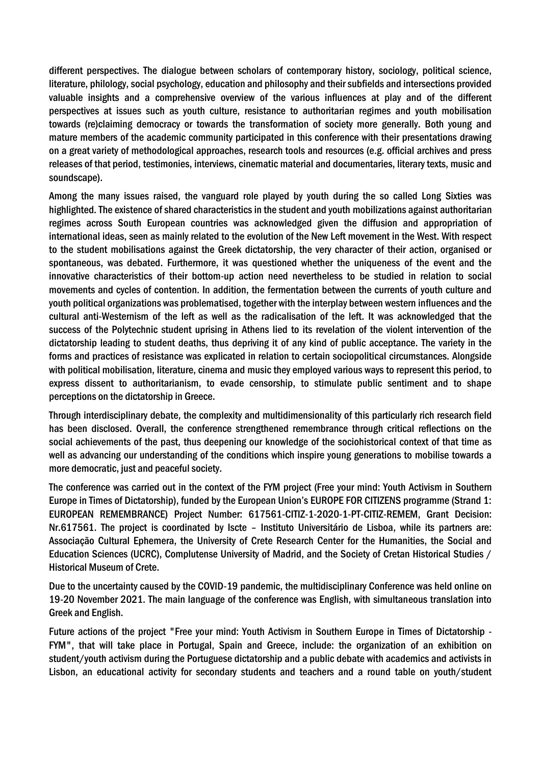different perspectives. The dialogue between scholars of contemporary history, sociology, political science, literature, philology, social psychology, education and philosophy and their subfields and intersections provided valuable insights and a comprehensive overview of the various influences at play and of the different perspectives at issues such as youth culture, resistance to authoritarian regimes and youth mobilisation towards (re)claiming democracy or towards the transformation of society more generally. Both young and mature members of the academic community participated in this conference with their presentations drawing on a great variety of methodological approaches, research tools and resources (e.g. official archives and press releases of that period, testimonies, interviews, cinematic material and documentaries, literary texts, music and soundscape).

Among the many issues raised, the vanguard role played by youth during the so called Long Sixties was highlighted. The existence of shared characteristics in the student and youth mobilizations against authoritarian regimes across South European countries was acknowledged given the diffusion and appropriation of international ideas, seen as mainly related to the evolution of the New Left movement in the West. With respect to the student mobilisations against the Greek dictatorship, the very character of their action, organised or spontaneous, was debated. Furthermore, it was questioned whether the uniqueness of the event and the innovative characteristics of their bottom-up action need nevertheless to be studied in relation to social movements and cycles of contention. In addition, the fermentation between the currents of youth culture and youth political organizations was problematised, together with the interplay between western influences and the cultural anti-Westernism of the left as well as the radicalisation of the left. It was acknowledged that the success of the Polytechnic student uprising in Athens lied to its revelation of the violent intervention of the dictatorship leading to student deaths, thus depriving it of any kind of public acceptance. The variety in the forms and practices of resistance was explicated in relation to certain sociopolitical circumstances. Alongside with political mobilisation, literature, cinema and music they employed various ways to represent this period, to express dissent to authoritarianism, to evade censorship, to stimulate public sentiment and to shape perceptions on the dictatorship in Greece.

Through interdisciplinary debate, the complexity and multidimensionality of this particularly rich research field has been disclosed. Overall, the conference strengthened remembrance through critical reflections on the social achievements of the past, thus deepening our knowledge of the sociohistorical context of that time as well as advancing our understanding of the conditions which inspire young generations to mobilise towards a more democratic, just and peaceful society.

The conference was carried out in the context of the FYM project (Free your mind: Youth Activism in Southern Europe in Times of Dictatorship), funded by the European Union's EUROPE FOR CITIZENS programme (Strand 1: EUROPEAN REMEMBRANCE) Project Number: 617561-CITIZ-1-2020-1-PT-CITIZ-REMEM, Grant Decision: Nr.617561. The project is coordinated by Iscte – Instituto Universitário de Lisboa, while its partners are: Associação Cultural Ephemera, the University of Crete Research Center for the Humanities, the Social and Education Sciences (UCRC), Complutense University of Madrid, and the Society of Cretan Historical Studies / Historical Museum of Crete.

Due to the uncertainty caused by the COVID-19 pandemic, the multidisciplinary Conference was held online on 19-20 November 2021. The main language of the conference was English, with simultaneous translation into Greek and English.

Future actions of the project "Free your mind: Youth Activism in Southern Europe in Times of Dictatorship - FYM", that will take place in Portugal, Spain and Greece, include: the organization of an exhibition on student/youth activism during the Portuguese dictatorship and a public debate with academics and activists in Lisbon, an educational activity for secondary students and teachers and a round table on youth/student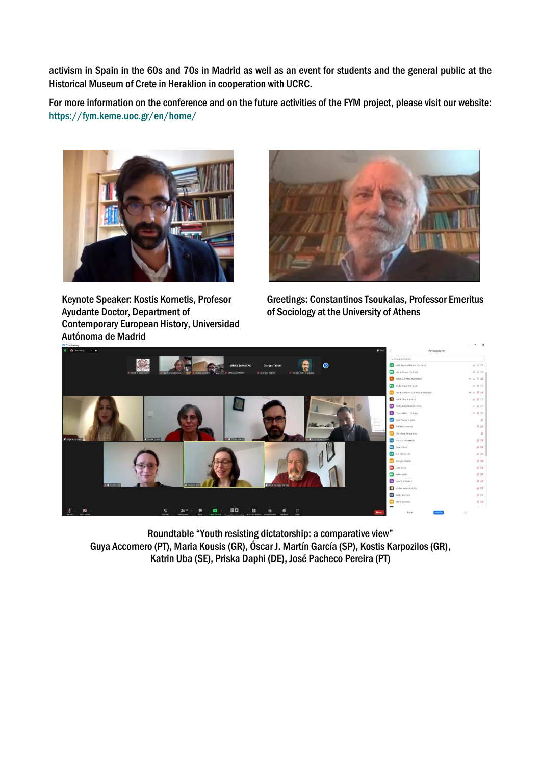activism in Spain in the 60s and 70s in Madrid as well as an event for students and the general public at the Historical Museum of Crete in Heraklion in cooperation with UCRC.

For more information on the conference and on the future activities of the FYM project, please visit our website: <https://fym.keme.uoc.gr/en/home/>



Keynote Speaker: Kostis Kornetis, Profesor Ayudante Doctor, Department of Contemporary European History, Universidad Autónoma de Madrid



Greetings: Constantinos Tsoukalas, Professor Emeritus of Sociology at the University of Athens



Roundtable "Youth resisting dictatorship: a comparative view" Guya Accornero (PT), Maria Kousis (GR), Óscar J. Martín García (SP), Kostis Karpozilos (GR), Katrin Uba (SE), Priska Daphi (DE), José Pacheco Pereira (PT)